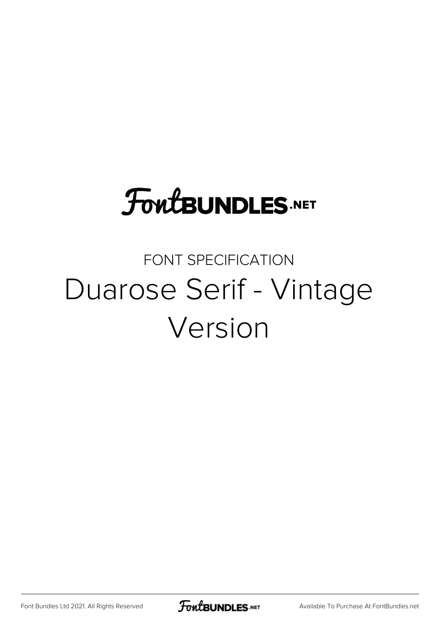## **FoutBUNDLES.NET**

#### FONT SPECIFICATION Duarose Serif - Vintage Version

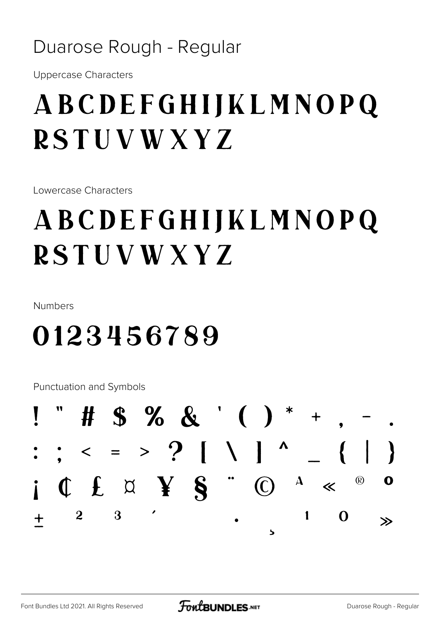#### Duarose Rough - Regular

**Uppercase Characters** 

### ABCDEFGHIJKLMNOPQ **RSTUVWXYZ**

Lowercase Characters

### ABCDEFGHIJKLMNOPQ **RSTUVWXYZ**

Numbers

#### 0123456789

Punctuation and Symbols

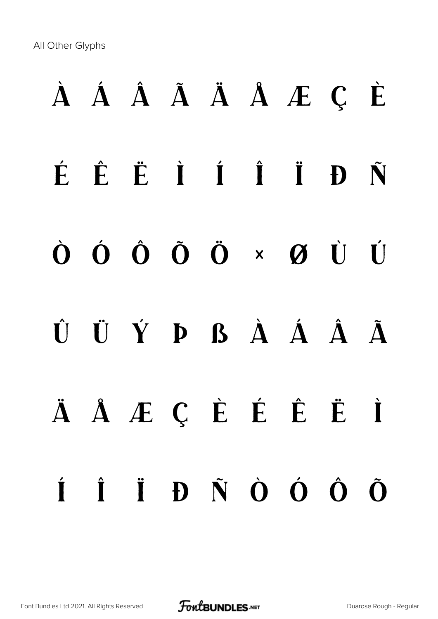All Other Glyphs

# À Á Â Ã Ä Å Æ Ç È É Ê Ë Ì Í Î Ï Ð Ñ Ò Ó Ô Õ Ö × Ø Ù Ú Û Ü Ý Þ ß à á â ã ä å æ ç è é ê ë ì í î ï ð ñ ò ó ô õ

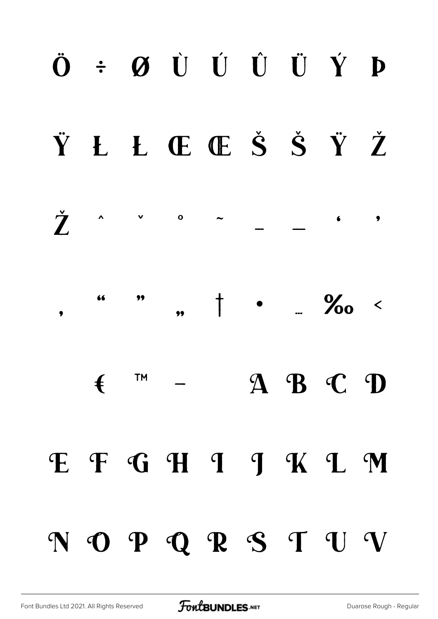#### $\ddot{\mathbf{O}}$  +  $\boldsymbol{\emptyset}$   $\dot{\mathbf{U}}$   $\dot{\mathbf{U}}$   $\dot{\mathbf{U}}$   $\dot{\mathbf{U}}$   $\dot{\mathbf{V}}$   $\mathbf{P}$ Ÿ Ł Ł Œ Œ Š Š Ÿ Ž Ž  $\mathbf{o}$  $\tilde{\phantom{a}}$  $\bullet$ 66 99  $\begin{array}{ccc} & & & \\ \hline & & & \end{array}$  $\sim$  %0  $\lt$  $\bullet$ TM  $A$   $B$   $C$   $D$  $\mathbf{f}$ E F G H I J K L M NOPQRSTUV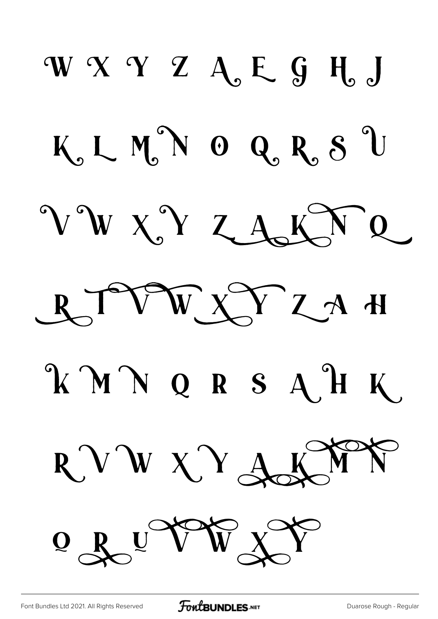W Y Y Z A, E G H J K, LMN O Q, R, S U VWXYZAKTQ RTVWXYZAH KMNQRSAHK KWN RVWXYA  $Q$   $R$   $U$   $V$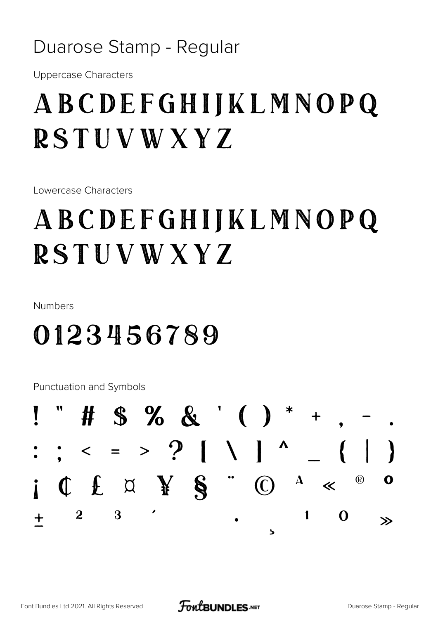#### Duarose Stamp - Regular

**Uppercase Characters** 

#### ABCDEFGHIJKLMNOPQ **RSTUVWXYZ**

Lowercase Characters

#### ABCDEFGHIJKLMNOPQ **RSTUVWXYZ**

Numbers

#### 0123456789

Punctuation and Symbols

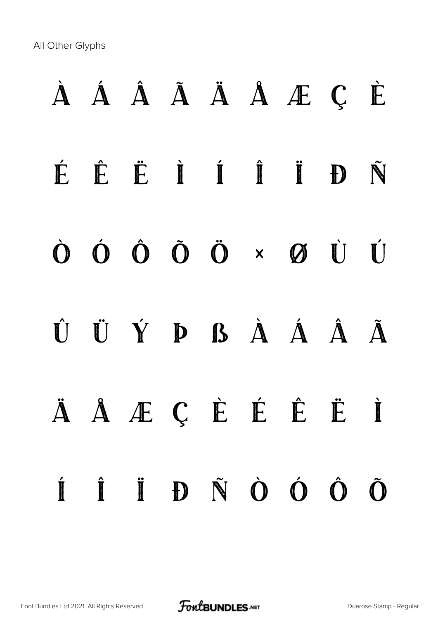All Other Glyphs

# À Á Â Ã Ä Å Æ Ç È É Ê Ë Ì Í Î Ï Ð Ñ Ò Ó Ô Õ Ö × Ø Ù Ú Û Ü Ý Þ ß à á â ã ä å æ ç è é ê ë ì í î ï ð ñ ò ó ô õ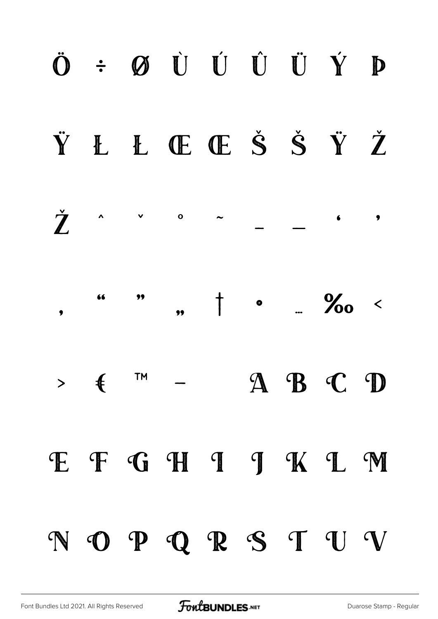